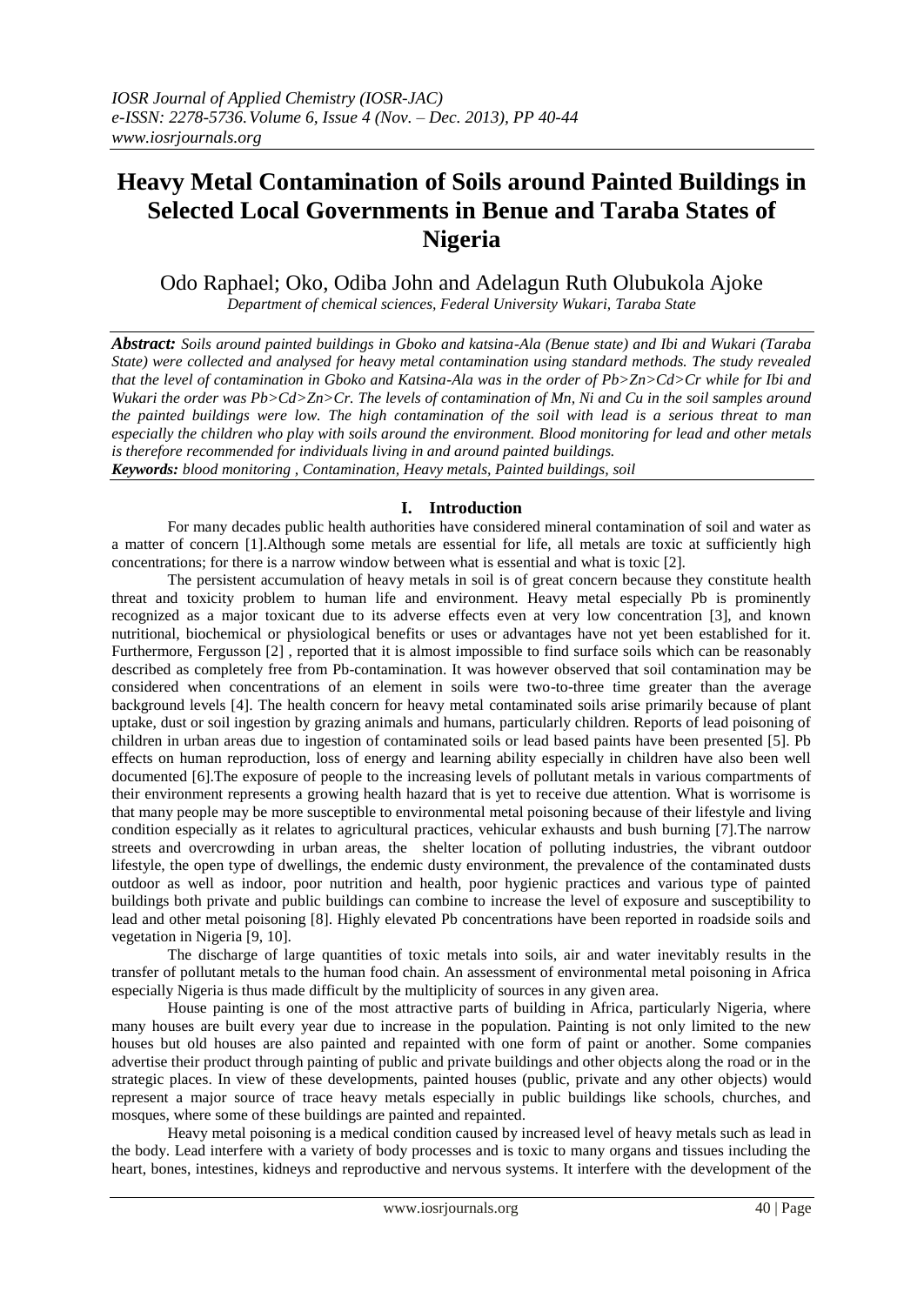# **Heavy Metal Contamination of Soils around Painted Buildings in Selected Local Governments in Benue and Taraba States of Nigeria**

# Odo Raphael; Oko, Odiba John and Adelagun Ruth Olubukola Ajoke

*Department of chemical sciences, Federal University Wukari, Taraba State*

*Abstract: Soils around painted buildings in Gboko and katsina-Ala (Benue state) and Ibi and Wukari (Taraba State) were collected and analysed for heavy metal contamination using standard methods. The study revealed that the level of contamination in Gboko and Katsina-Ala was in the order of Pb>Zn>Cd>Cr while for Ibi and Wukari the order was Pb>Cd>Zn>Cr. The levels of contamination of Mn, Ni and Cu in the soil samples around the painted buildings were low. The high contamination of the soil with lead is a serious threat to man especially the children who play with soils around the environment. Blood monitoring for lead and other metals is therefore recommended for individuals living in and around painted buildings. Keywords: blood monitoring , Contamination, Heavy metals, Painted buildings, soil*

# **I. Introduction**

For many decades public health authorities have considered mineral contamination of soil and water as a matter of concern [1].Although some metals are essential for life, all metals are toxic at sufficiently high concentrations; for there is a narrow window between what is essential and what is toxic [2].

The persistent accumulation of heavy metals in soil is of great concern because they constitute health threat and toxicity problem to human life and environment. Heavy metal especially Pb is prominently recognized as a major toxicant due to its adverse effects even at very low concentration [3], and known nutritional, biochemical or physiological benefits or uses or advantages have not yet been established for it. Furthermore, Fergusson [2] , reported that it is almost impossible to find surface soils which can be reasonably described as completely free from Pb-contamination. It was however observed that soil contamination may be considered when concentrations of an element in soils were two-to-three time greater than the average background levels [4]. The health concern for heavy metal contaminated soils arise primarily because of plant uptake, dust or soil ingestion by grazing animals and humans, particularly children. Reports of lead poisoning of children in urban areas due to ingestion of contaminated soils or lead based paints have been presented [5]. Pb effects on human reproduction, loss of energy and learning ability especially in children have also been well documented [6].The exposure of people to the increasing levels of pollutant metals in various compartments of their environment represents a growing health hazard that is yet to receive due attention. What is worrisome is that many people may be more susceptible to environmental metal poisoning because of their lifestyle and living condition especially as it relates to agricultural practices, vehicular exhausts and bush burning [7].The narrow streets and overcrowding in urban areas, the shelter location of polluting industries, the vibrant outdoor lifestyle, the open type of dwellings, the endemic dusty environment, the prevalence of the contaminated dusts outdoor as well as indoor, poor nutrition and health, poor hygienic practices and various type of painted buildings both private and public buildings can combine to increase the level of exposure and susceptibility to lead and other metal poisoning [8]. Highly elevated Pb concentrations have been reported in roadside soils and vegetation in Nigeria [9, 10].

The discharge of large quantities of toxic metals into soils, air and water inevitably results in the transfer of pollutant metals to the human food chain. An assessment of environmental metal poisoning in Africa especially Nigeria is thus made difficult by the multiplicity of sources in any given area.

House painting is one of the most attractive parts of building in Africa, particularly Nigeria, where many houses are built every year due to increase in the population. Painting is not only limited to the new houses but old houses are also painted and repainted with one form of paint or another. Some companies advertise their product through painting of public and private buildings and other objects along the road or in the strategic places. In view of these developments, painted houses (public, private and any other objects) would represent a major source of trace heavy metals especially in public buildings like schools, churches, and mosques, where some of these buildings are painted and repainted.

Heavy metal poisoning is a medical condition caused by increased level of heavy metals such as lead in the body. Lead interfere with a variety of body processes and is toxic to many organs and tissues including the heart, bones, intestines, kidneys and reproductive and nervous systems. It interfere with the development of the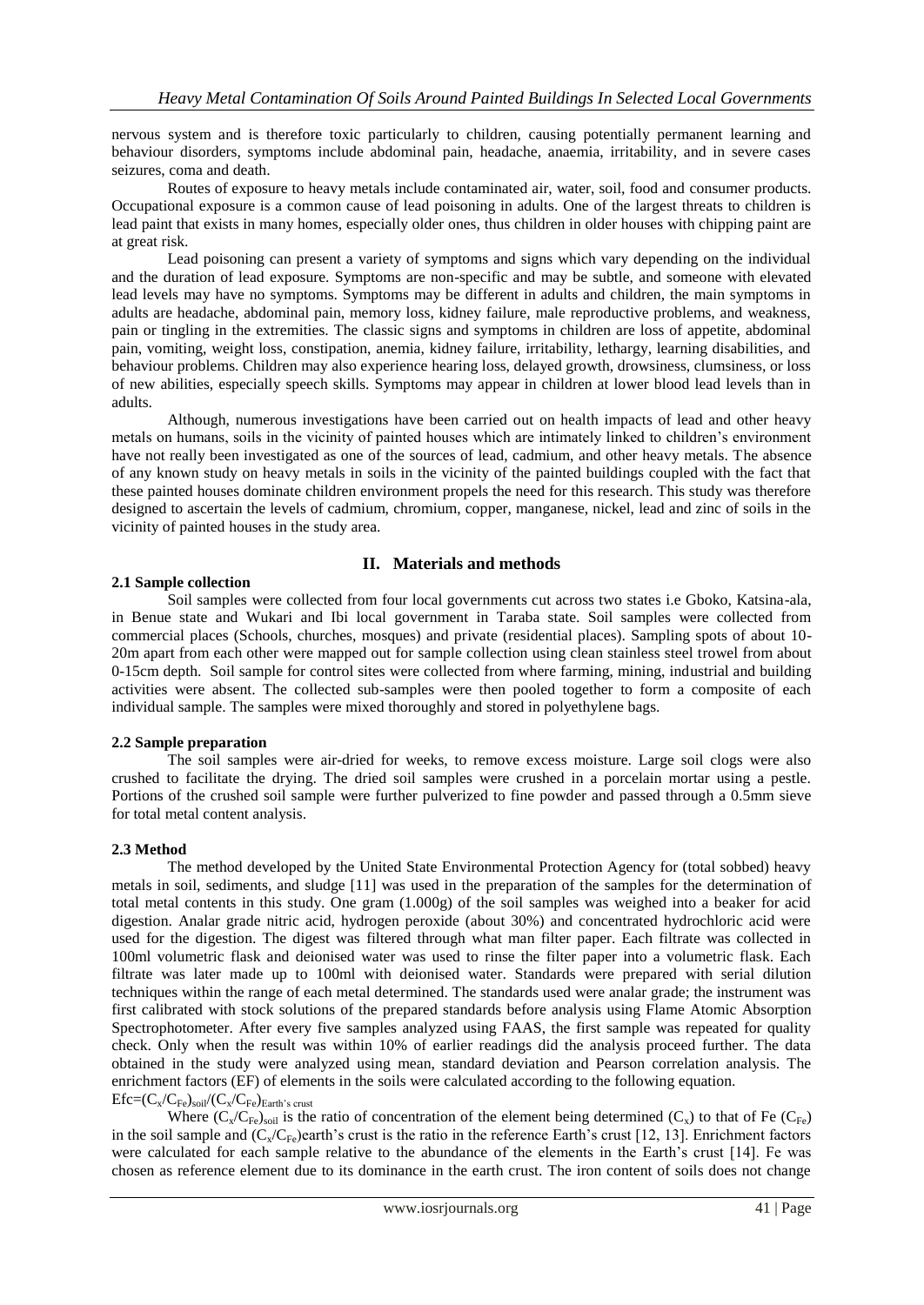nervous system and is therefore toxic particularly to children, causing potentially permanent learning and behaviour disorders, symptoms include abdominal pain, headache, anaemia, irritability, and in severe cases seizures, coma and death.

Routes of exposure to heavy metals include contaminated air, water, soil, food and consumer products. Occupational exposure is a common cause of lead poisoning in adults. One of the largest threats to children is lead paint that exists in many homes, especially older ones, thus children in older houses with chipping paint are at great risk.

Lead poisoning can present a variety of symptoms and signs which vary depending on the individual and the duration of lead exposure. Symptoms are non-specific and may be subtle, and someone with elevated lead levels may have no symptoms. Symptoms may be different in adults and children, the main symptoms in adults are headache, abdominal pain, memory loss, kidney failure, male reproductive problems, and weakness, pain or tingling in the extremities. The classic signs and symptoms in children are loss of appetite, abdominal pain, vomiting, weight loss, constipation, anemia, kidney failure, irritability, lethargy, learning disabilities, and behaviour problems. Children may also experience hearing loss, delayed growth, drowsiness, clumsiness, or loss of new abilities, especially speech skills. Symptoms may appear in children at lower blood lead levels than in adults.

Although, numerous investigations have been carried out on health impacts of lead and other heavy metals on humans, soils in the vicinity of painted houses which are intimately linked to children's environment have not really been investigated as one of the sources of lead, cadmium, and other heavy metals. The absence of any known study on heavy metals in soils in the vicinity of the painted buildings coupled with the fact that these painted houses dominate children environment propels the need for this research. This study was therefore designed to ascertain the levels of cadmium, chromium, copper, manganese, nickel, lead and zinc of soils in the vicinity of painted houses in the study area.

# **II. Materials and methods**

#### **2.1 Sample collection**

Soil samples were collected from four local governments cut across two states i.e Gboko, Katsina-ala, in Benue state and Wukari and Ibi local government in Taraba state. Soil samples were collected from commercial places (Schools, churches, mosques) and private (residential places). Sampling spots of about 10- 20m apart from each other were mapped out for sample collection using clean stainless steel trowel from about 0-15cm depth. Soil sample for control sites were collected from where farming, mining, industrial and building activities were absent. The collected sub-samples were then pooled together to form a composite of each individual sample. The samples were mixed thoroughly and stored in polyethylene bags.

### **2.2 Sample preparation**

The soil samples were air-dried for weeks, to remove excess moisture. Large soil clogs were also crushed to facilitate the drying. The dried soil samples were crushed in a porcelain mortar using a pestle. Portions of the crushed soil sample were further pulverized to fine powder and passed through a 0.5mm sieve for total metal content analysis.

#### **2.3 Method**

The method developed by the United State Environmental Protection Agency for (total sobbed) heavy metals in soil, sediments, and sludge [11] was used in the preparation of the samples for the determination of total metal contents in this study. One gram (1.000g) of the soil samples was weighed into a beaker for acid digestion. Analar grade nitric acid, hydrogen peroxide (about 30%) and concentrated hydrochloric acid were used for the digestion. The digest was filtered through what man filter paper. Each filtrate was collected in 100ml volumetric flask and deionised water was used to rinse the filter paper into a volumetric flask. Each filtrate was later made up to 100ml with deionised water. Standards were prepared with serial dilution techniques within the range of each metal determined. The standards used were analar grade; the instrument was first calibrated with stock solutions of the prepared standards before analysis using Flame Atomic Absorption Spectrophotometer. After every five samples analyzed using FAAS, the first sample was repeated for quality check. Only when the result was within 10% of earlier readings did the analysis proceed further. The data obtained in the study were analyzed using mean, standard deviation and Pearson correlation analysis. The enrichment factors (EF) of elements in the soils were calculated according to the following equation.  $Efc=(C_x/C_{Fe})_{soil}/(C_x/C_{Fe})_{Earth}$ 's crust

Where  $(C_x/C_{Fe})_{soil}$  is the ratio of concentration of the element being determined  $(C_x)$  to that of Fe  $(C_{Fe})$ in the soil sample and  $(C_v/C_{Fe})$ earth's crust is the ratio in the reference Earth's crust [12, 13]. Enrichment factors were calculated for each sample relative to the abundance of the elements in the Earth's crust [14]. Fe was chosen as reference element due to its dominance in the earth crust. The iron content of soils does not change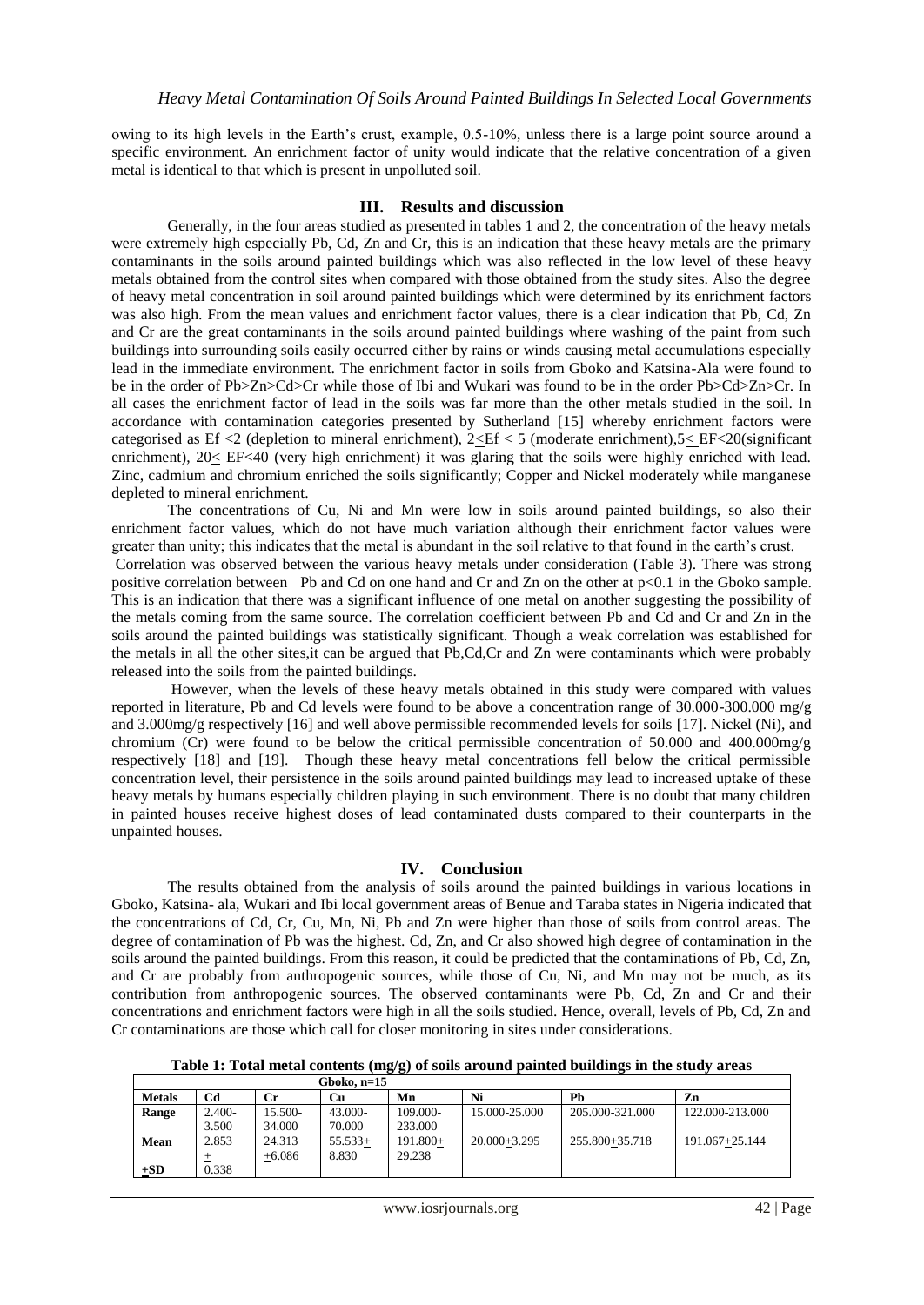owing to its high levels in the Earth's crust, example, 0.5-10%, unless there is a large point source around a specific environment. An enrichment factor of unity would indicate that the relative concentration of a given metal is identical to that which is present in unpolluted soil.

#### **III. Results and discussion**

Generally, in the four areas studied as presented in tables 1 and 2, the concentration of the heavy metals were extremely high especially Pb, Cd, Zn and Cr, this is an indication that these heavy metals are the primary contaminants in the soils around painted buildings which was also reflected in the low level of these heavy metals obtained from the control sites when compared with those obtained from the study sites. Also the degree of heavy metal concentration in soil around painted buildings which were determined by its enrichment factors was also high. From the mean values and enrichment factor values, there is a clear indication that Pb, Cd, Zn and Cr are the great contaminants in the soils around painted buildings where washing of the paint from such buildings into surrounding soils easily occurred either by rains or winds causing metal accumulations especially lead in the immediate environment. The enrichment factor in soils from Gboko and Katsina-Ala were found to be in the order of Pb>Zn>Cd>Cr while those of Ibi and Wukari was found to be in the order Pb>Cd>Zn>Cr. In all cases the enrichment factor of lead in the soils was far more than the other metals studied in the soil. In accordance with contamination categories presented by Sutherland [15] whereby enrichment factors were categorised as Ef <2 (depletion to mineral enrichment),  $2 \leq E \leq 5$  (moderate enrichment),  $5 \leq E \leq 20$ (significant enrichment), 20< EF<40 (very high enrichment) it was glaring that the soils were highly enriched with lead. Zinc, cadmium and chromium enriched the soils significantly; Copper and Nickel moderately while manganese depleted to mineral enrichment.

The concentrations of Cu, Ni and Mn were low in soils around painted buildings, so also their enrichment factor values, which do not have much variation although their enrichment factor values were greater than unity; this indicates that the metal is abundant in the soil relative to that found in the earth's crust. Correlation was observed between the various heavy metals under consideration (Table 3). There was strong positive correlation between Pb and Cd on one hand and Cr and Zn on the other at p<0.1 in the Gboko sample. This is an indication that there was a significant influence of one metal on another suggesting the possibility of the metals coming from the same source. The correlation coefficient between Pb and Cd and Cr and Zn in the soils around the painted buildings was statistically significant. Though a weak correlation was established for the metals in all the other sites,it can be argued that Pb,Cd,Cr and Zn were contaminants which were probably released into the soils from the painted buildings.

However, when the levels of these heavy metals obtained in this study were compared with values reported in literature, Pb and Cd levels were found to be above a concentration range of 30.000-300.000 mg/g and 3.000mg/g respectively [16] and well above permissible recommended levels for soils [17]. Nickel (Ni), and chromium (Cr) were found to be below the critical permissible concentration of 50.000 and 400.000mg/g respectively [18] and [19]. Though these heavy metal concentrations fell below the critical permissible concentration level, their persistence in the soils around painted buildings may lead to increased uptake of these heavy metals by humans especially children playing in such environment. There is no doubt that many children in painted houses receive highest doses of lead contaminated dusts compared to their counterparts in the unpainted houses.

#### **IV. Conclusion**

The results obtained from the analysis of soils around the painted buildings in various locations in Gboko, Katsina- ala, Wukari and Ibi local government areas of Benue and Taraba states in Nigeria indicated that the concentrations of Cd, Cr, Cu, Mn, Ni, Pb and Zn were higher than those of soils from control areas. The degree of contamination of Pb was the highest. Cd, Zn, and Cr also showed high degree of contamination in the soils around the painted buildings. From this reason, it could be predicted that the contaminations of Pb, Cd, Zn, and Cr are probably from anthropogenic sources, while those of Cu, Ni, and Mn may not be much, as its contribution from anthropogenic sources. The observed contaminants were Pb, Cd, Zn and Cr and their concentrations and enrichment factors were high in all the soils studied. Hence, overall, levels of Pb, Cd, Zn and Cr contaminations are those which call for closer monitoring in sites under considerations.

**Table 1: Total metal contents (mg/g) of soils around painted buildings in the study areas**

|               |          |           | Gboko, $n=15$ |          |                  |                 |                 |
|---------------|----------|-----------|---------------|----------|------------------|-----------------|-----------------|
| <b>Metals</b> | Cd       | <b>Cr</b> | Сu            | Mn       | Ni               | Ph              | Zn              |
| Range         | $2.400-$ | 15.500-   | 43.000-       | 109.000- | 15.000-25.000    | 205.000-321.000 | 122.000-213.000 |
|               | 3.500    | 34.000    | 70.000        | 233.000  |                  |                 |                 |
| Mean          | 2.853    | 24.313    | $55.533+$     | 191.800+ | $20.000 + 3.295$ | 255.800+35.718  | 191.067+25.144  |
|               |          | $+6.086$  | 8.830         | 29.238   |                  |                 |                 |
| $+SD$         | 0.338    |           |               |          |                  |                 |                 |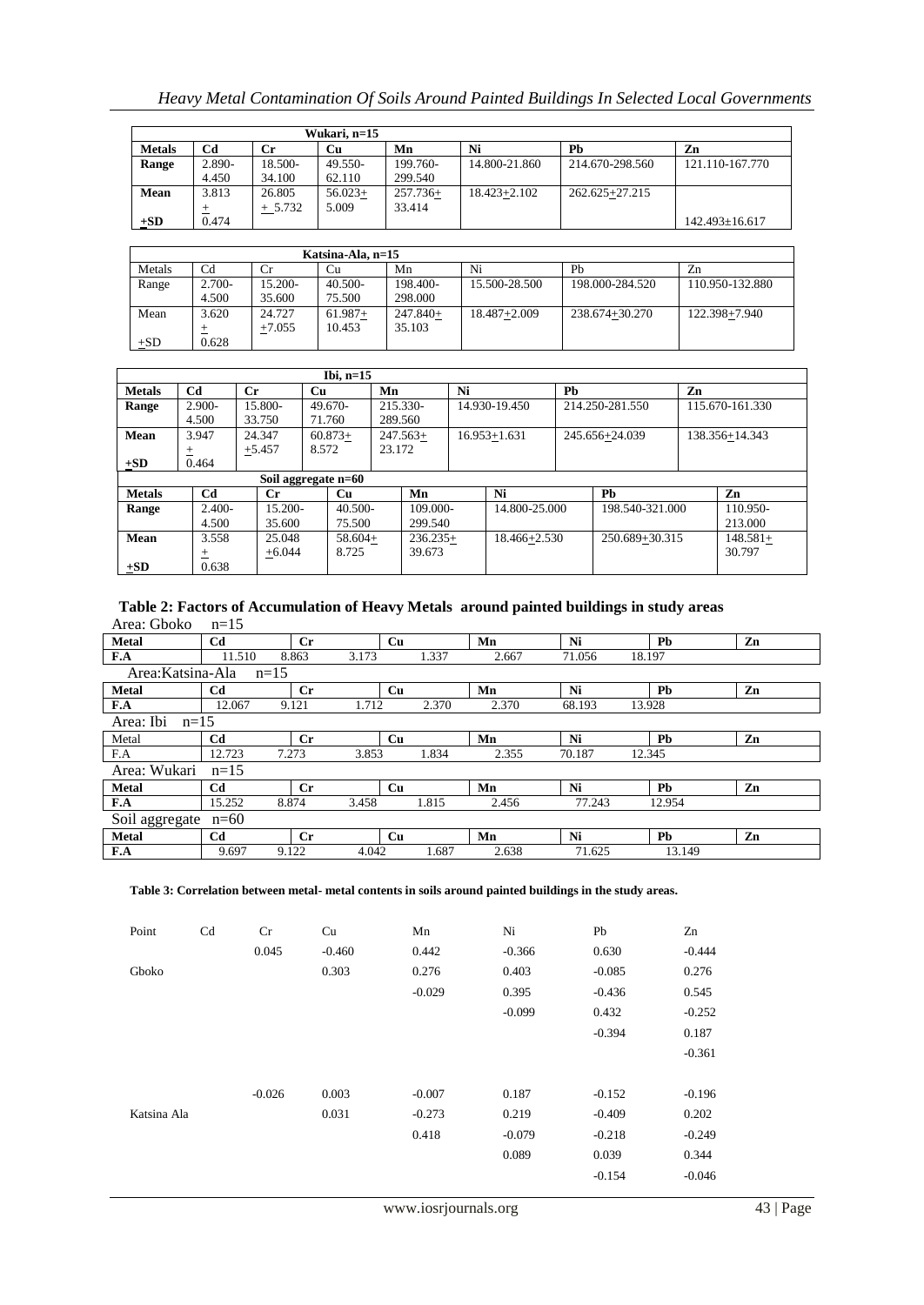# *Heavy Metal Contamination Of Soils Around Painted Buildings In Selected Local Governments*

|               |        |           | Wukari. n=15 |            |                  |                    |                      |
|---------------|--------|-----------|--------------|------------|------------------|--------------------|----------------------|
| <b>Metals</b> | Cd     | Сr        | Cu           | Mn         | Ni               | Ph                 | Zn                   |
| Range         | 2.890- | 18.500-   | 49.550-      | 199.760-   | 14.800-21.860    | 214.670-298.560    | 121.110-167.770      |
|               | 4.450  | 34.100    | 62.110       | 299.540    |                  |                    |                      |
| Mean          | 3.813  | 26.805    | $56.023+$    | $257.736+$ | $18.423 + 2.102$ | $262.625 + 27.215$ |                      |
|               |        | $+ 5.732$ | 5.009        | 33.414     |                  |                    |                      |
| $\pm SD$      | 0.474  |           |              |            |                  |                    | $142.493 \pm 16.617$ |

|        |                |          | Katsina-Ala, n=15 |            |                  |                 |                 |
|--------|----------------|----------|-------------------|------------|------------------|-----------------|-----------------|
| Metals | C <sub>d</sub> | Cr.      | Cu                | Mn         | Ni               | Ph              | Zn              |
| Range  | $2.700 -$      | 15.200-  | $40.500 -$        | 198.400-   | 15.500-28.500    | 198.000-284.520 | 110.950-132.880 |
|        | 4.500          | 35.600   | 75.500            | 298,000    |                  |                 |                 |
| Mean   | 3.620          | 24.727   | $61.987+$         | $247.840+$ | $18.487 + 2.009$ | 238.674+30.270  | 122.398+7.940   |
|        |                | $+7.055$ | 10.453            | 35.103     |                  |                 |                 |
| $+SD$  | 0.628          |          |                   |            |                  |                 |                 |

|               | Ibi, $n=15$    |             |                     |            |    |                  |    |                 |    |                 |  |  |
|---------------|----------------|-------------|---------------------|------------|----|------------------|----|-----------------|----|-----------------|--|--|
| <b>Metals</b> | Cd             | $_{\rm Cr}$ | Cu                  | Mn         | Ni |                  | Pb |                 | Zn |                 |  |  |
| Range         | $2.900 -$      | 15.800-     | $49.670-$           | 215.330-   |    | 14.930-19.450    |    | 214.250-281.550 |    | 115.670-161.330 |  |  |
|               | 4.500          | 33.750      | 71.760              | 289.560    |    |                  |    |                 |    |                 |  |  |
| Mean          | 3.947          | 24.347      | $60.873+$           | $247.563+$ |    | $16.953 + 1.631$ |    | 245.656+24.039  |    | 138.356+14.343  |  |  |
|               | 土              | $+5.457$    | 8.572               | 23.172     |    |                  |    |                 |    |                 |  |  |
| $+SD$         | 0.464          |             |                     |            |    |                  |    |                 |    |                 |  |  |
|               |                |             | Soil aggregate n=60 |            |    |                  |    |                 |    |                 |  |  |
| <b>Metals</b> | C <sub>d</sub> | $_{\rm Cr}$ | <b>Cu</b>           | Mn         |    | Ni               |    | Pb              |    | Zn              |  |  |
| Range         | $2.400-$       | $15.200 -$  | $40.500-$           | 109.000-   |    | 14.800-25.000    |    | 198.540-321.000 |    | 110.950-        |  |  |
|               | 4.500          | 35.600      | 75.500              | 299.540    |    |                  |    |                 |    | 213.000         |  |  |
| <b>Mean</b>   | 3.558          | 25.048      | $58.604+$           | $236.235+$ |    | 18.466+2.530     |    | 250.689+30.315  |    | $148.581+$      |  |  |
|               | $^+$           | $+6.044$    | 8.725               | 39.673     |    |                  |    |                 |    | 30.797          |  |  |
| $+SD$         | 0.638          |             |                     |            |    |                  |    |                 |    |                 |  |  |

#### **Table 2: Factors of Accumulation of Heavy Metals around painted buildings in study areas** Area: Gboko n=15

| <b>Metal</b>        | C <sub>d</sub> | $C_{r}$     | Cu    |       | Mn    | Ni     | Pb        | Zn |
|---------------------|----------------|-------------|-------|-------|-------|--------|-----------|----|
| F.A                 | 11.510         | 8.863       | 3.173 | 1.337 | 2.667 | 71.056 | 18.197    |    |
| Area:Katsina-Ala    | $n=15$         |             |       |       |       |        |           |    |
| <b>Metal</b>        | Cd             | $_{\rm Cr}$ | Cu    |       | Mn    | Ni     | Pb        | Zn |
| F.A                 | 12.067         | 9.121       | 1.712 | 2.370 | 2.370 | 68.193 | 13.928    |    |
| Area: Ibi<br>$n=15$ |                |             |       |       |       |        |           |    |
| Metal               | Cd             | $C_{r}$     | Cu    |       | Mn    | Ni     | Pb        | Zn |
| F.A                 | 12.723         | 7.273       | 3.853 | 1.834 | 2.355 | 70.187 | 12.345    |    |
| Area: Wukari        | $n=15$         |             |       |       |       |        |           |    |
| <b>Metal</b>        | Cd             | $_{\rm Cr}$ | Cu    |       | Mn    | Ni     | Pb        | Zn |
| F.A                 | 15.252         | 8.874       | 3.458 | 1.815 | 2.456 | 77.243 | 12.954    |    |
| Soil aggregate      | $n=60$         |             |       |       |       |        |           |    |
| <b>Metal</b>        | Cd             | $_{\rm Cr}$ | Cu    |       | Mn    | Ni     | <b>Pb</b> | Zn |
| F.A                 | 9.697          | 9.122       | 4.042 | 1.687 | 2.638 | 71.625 | 13.149    |    |

**Table 3: Correlation between metal- metal contents in soils around painted buildings in the study areas.**

| Point       | Cd | Cr       | Cu       | Mn       | Ni       | Pb       | Zn       |
|-------------|----|----------|----------|----------|----------|----------|----------|
|             |    | 0.045    | $-0.460$ | 0.442    | $-0.366$ | 0.630    | $-0.444$ |
| Gboko       |    |          | 0.303    | 0.276    | 0.403    | $-0.085$ | 0.276    |
|             |    |          |          | $-0.029$ | 0.395    | $-0.436$ | 0.545    |
|             |    |          |          |          | $-0.099$ | 0.432    | $-0.252$ |
|             |    |          |          |          |          | $-0.394$ | 0.187    |
|             |    |          |          |          |          |          | $-0.361$ |
|             |    |          |          |          |          |          |          |
|             |    | $-0.026$ | 0.003    | $-0.007$ | 0.187    | $-0.152$ | $-0.196$ |
| Katsina Ala |    |          | 0.031    | $-0.273$ | 0.219    | $-0.409$ | 0.202    |
|             |    |          |          | 0.418    | $-0.079$ | $-0.218$ | $-0.249$ |
|             |    |          |          |          | 0.089    | 0.039    | 0.344    |
|             |    |          |          |          |          | $-0.154$ | $-0.046$ |
|             |    |          |          |          |          |          |          |